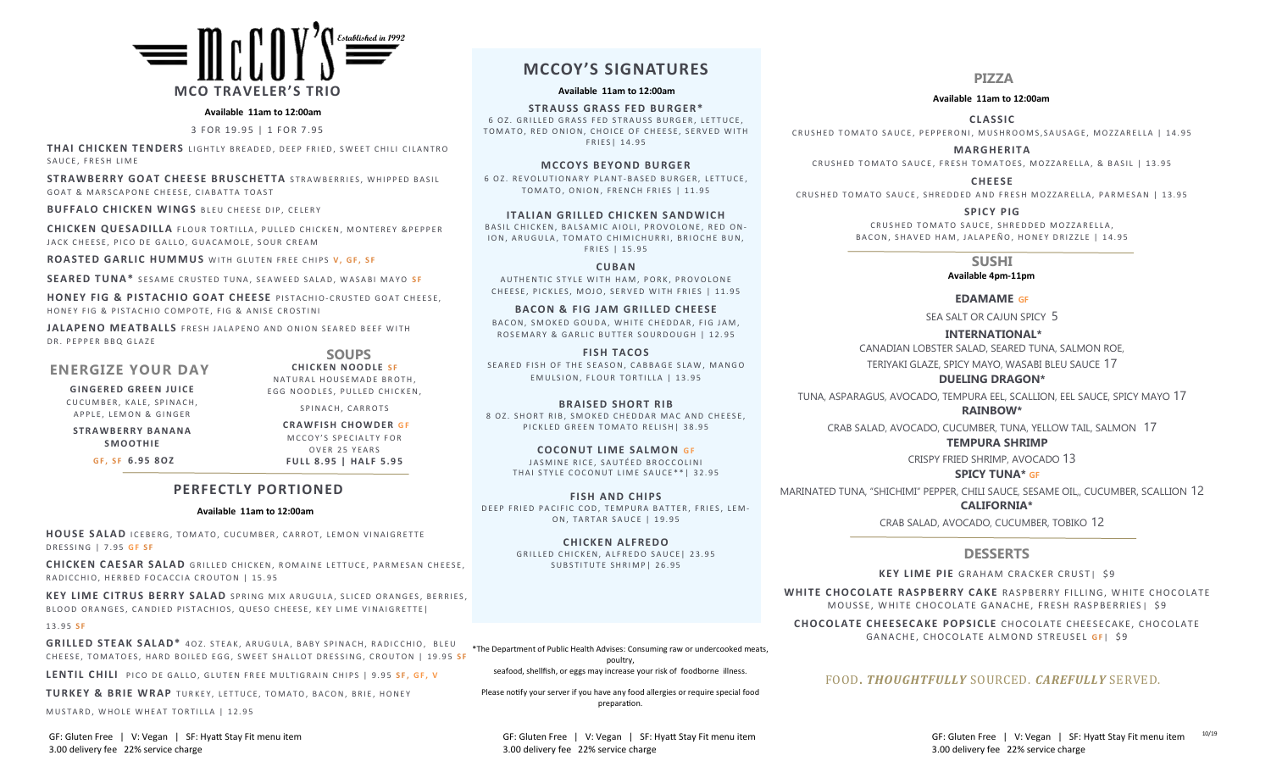

#### **Available 11am to 12:00am**

3 FOR 19.95 | 1 FOR 7.95

**THAI CHICKEN TENDERS** LIGHTLY BREADED, DEEP FRIED, SWEET CHILI CILANTRO SAUCE. FRESH LIME

**STRAWBERRY GOAT CHEESE BRUSCHETTA** STRAWBERRIES, WHIPPED BASIL GOAT & MARSCAPONE CHEESE, CIABATTA TOAST

**BUFFALO CHICKEN WINGS BLEU CHEESE DIP, CELERY** 

**CHICKEN QUESADILLA** FLOUR TORTILLA, PULLED CHICKEN, MONTEREY & PEPPER JACK CHEESE, PICO DE GALLO, GUACAMOLE, SOUR CREAM

**ROASTED GARLIC HUMMUS** WITH GLUTEN FREE CHIPS V. GF. SF

**SEARED TUNA\*** SESAME CRUSTED TUNA, SEAWEED SALAD, WASABI MAYO SF

**HONEY FIG & PISTACHIO GOAT CHEESE** PISTACHIO-CRUSTED GOAT CHEESE. HONEY FIG & PISTACHIO COMPOTE, FIG & ANISE CROSTINI

**JALAPENO MEATBALLS** FRESH JALAPENO AND ONION SEARED BEEF WITH DR. PEPPER BBO GLAZE

### **ENERGIZE YOUR DAY**

**GINGERED GREEN JUICE** CUCUMBER, KALE, SPINACH, APPLE, LEMON & GINGER

**STRAWBERRY BANANA S M O O T H I E**

**G F , S F 6 . 9 5 8 O Z**

SPINACH, CARROTS **CRAWFISH CHOWDER GF** M C C O Y'S SPECIAL TY FOR OVER 25 YEARS

**SOUPS CHICKEN NOODLE SF** NATURAL HOUSEMADE BROTH, EGG NOODLES, PULLED CHICKEN,

**F U LL 8 . 9 5 | H A LF 5 . 9 5**

# **PERFECTLY PORTIONED**

#### **Available 11am to 12:00am**

**HOUSE SALAD** ICEBERG, TOMATO, CUCUMBER, CARROT, LEMON VINAIGRETTE D R E S S I N G | 7.95 **G F S F** 

**CHICKEN CAESAR SALAD** GRILLED CHICKEN, ROMAINE LETTUCE, PARMESAN CHEESE, RADICCHIO, HERBED FOCACCIA CROUTON | 15.95

KEY LIME CITRUS BERRY SALAD SPRING MIX ARUGULA, SLICED ORANGES, BERRIES, BLOOD ORANGES, CANDIED PISTACHIOS, QUESO CHEESE, KEY LIME VINAIGRETTE|

#### 1 3 . 9 5 **S F**

**GRILLED STEAK SALAD\*** 40Z. STEAK, ARUGULA, BABY SPINACH, RADICCHIO, BLEU CHEESE, TOMATOES, HARD BOILED EGG, SWEET SHALLOT DRESSING, CROUTON | 19.95 SF

LENTIL CHILI PICO DE GALLO, GLUTEN FREE MULTIGRAIN CHIPS | 9.95 SF, GF, V

**TURKEY & BRIE WRAP** TURKEY, LETTUCE, TOMATO, BACON, BRIE, HONEY

MUSTARD, WHOLE WHEAT TORTILLA | 12.95

GF: Gluten Free | V: Vegan | SF: Hyatt Stay Fit menu item GF: Gluten Free | V: Vegan | SF: Hyatt Stay Fit menu item GF: Gluten Free | V: Vegan | SF: Hyatt Stay Fit menu item GF: Gluten Free | V: Vegan | SF: Hyatt Stay Fit

# **MCCOY'S SIGNATURES**

**Available 11am to 12:00am**

**STRAUSS GRASS FED BURGER\*** 6 OZ. GRILLED GRASS FED STRAUSS BURGER, LETTUCE, TOMATO, RED ONION, CHOICE OF CHEESE, SERVED WITH F R I E S | 14.95

#### **MCCOYS BEYOND BURGER**

6 OZ. REVOLUTIONARY PLANT-BASED BURGER, LETTUCE, TOMATO, ONION, FRENCH FRIES | 11.95

**ITALIAN GRILLED CHICKEN SANDWICH** BASIL CHICKEN, BALSAMIC AIOLI, PROVOLONE, RED ON-ION, ARUGULA, TOMATO CHIMICHURRI, BRIOCHE BUN, FRIES | 15.95

**CUBA N**  AUTHENTIC STYLE WITH HAM, PORK, PROVOLONE CHEESE, PICKLES, MOJO, SERVED WITH FRIES | 11.95

**BACON & FIG JAM GRILLED CHEESE** BACON, SMOKED GOUDA, WHITE CHEDDAR, FIG JAM. ROSEMARY & GARLIC BUTTER SOURDOUGH | 12.95

**FISH TACOS** SEARED FISH OF THE SEASON, CABBAGE SLAW, MANGO EMULSION, FLOUR TORTILLA | 13.95

**BRAISED SHORT RIB** 8 OZ. SHORT RIB, SMOKED CHEDDAR MAC AND CHEESE, PICKLED GREEN TOMATO RELISH | 38.95

**COCONUT LIME SALMON GF** JASMINE RICE, SAUTÉED BROCCOLINI THAI STYLE COCONUT LIME SAUCE\*\*| 32.95

**FISH AND CHIPS** DEEP FRIED PACIFIC COD, TEMPURA BATTER, FRIES, LEM-ON, TARTAR SAUCE | 19.95

> **CHICKE N AL F REDO** GRILLED CHICKEN, ALFREDO SAUCE | 23.95 SUBSTITUTE SHRIMP| 26.95

\*The Department of Public Health Advises: Consuming raw or undercooked meats, poultry, seafood, shellfish, or eggs may increase your risk of foodborne illness.

Please notify your server if you have any food allergies or require special food preparation.

3.00 delivery fee 22% service charge 3.00 delivery fee 22% service charge 3.00 delivery fee 22% service charge

### **PIZZA**

#### **Available 11am to 12:00am**

**CLA SS IC** CRUSHED TOMATO SAUCE, PEPPERONI, MUSHROOMS, SAUSAGE, MOZZARELLA | 14.95

**MARG HER IT A** CRUSHED TOMATO SAUCE, FRESH TOMATOES, MOZZARELLA, & BASIL | 13.95

**CHEESE** CRUSHED TOMATO SAUCE, SHREDDED AND FRESH MOZZARELLA, PARMESAN | 13.95

> **SPICY PIG** CRUSHED TOMATO SAUCE, SHREDDED MOZZARELLA, BACON, SHAVED HAM, JALAPEÑO, HONEY DRIZZLE | 14.95

# **SUSHI**

#### **Available 4pm-11pm**

#### **EDAMAME GF**

SEA SALT OR CAJUN SPICY 5

**INTERNATIONAL\***  CANADIAN LOBSTER SALAD, SEARED TUNA, SALMON ROE,

TERIYAKI GLAZE, SPICY MAYO, WASABI BLEU SAUCE 17

**DUELING DRAGON\***  TUNA, ASPARAGUS, AVOCADO, TEMPURA EEL, SCALLION, EEL SAUCE, SPICY MAYO 17

#### **RAINBOW\***

CRAB SALAD, AVOCADO, CUCUMBER, TUNA, YELLOW TAIL, SALMON 17

# **TEMPURA SHRIMP**

CRISPY FRIED SHRIMP, AVOCADO 13

#### **SPICY TUNA\* GF**

MARINATED TUNA, "SHICHIMI" PEPPER, CHILI SAUCE, SESAME OIL,, CUCUMBER, SCALLION 12

 **CALIFORNIA\*** 

CRAB SALAD, AVOCADO, CUCUMBER, TOBIKO 12

# **DESSERTS**

**KEY LIME PIE** GRAHAM CRACKER CRUST| \$9

WHITE CHOCOLATE RASPBERRY CAKE RASPBERRY FILLING, WHITE CHOCOLATE MOUSSE, WHITE CHOCOLATE GANACHE, FRESH RASPBERRIES| \$9

**CHOCOLATE CHEESECAKE POPSICLE** CHOCOLATE CHEESECAKE, CHOCOLATE GANACHE, CHOCOLATE ALMOND STREUSEL GF| \$9

### FOOD**.** *THOUGHTFULLY* SOURCED. *CAREFULLY* SERVED.

10/19